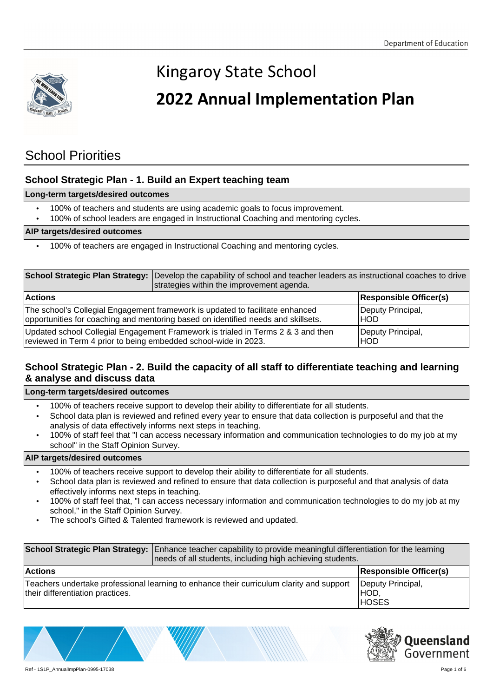

# **2022 Annual Implementation Plan**

### **School Priorities**

### **School Strategic Plan - 1. Build an Expert teaching team**

### **Long-term targets/desired outcomes**

- 100% of teachers and students are using academic goals to focus improvement.
- 100% of school leaders are engaged in Instructional Coaching and mentoring cycles.

### **AIP targets/desired outcomes**

• 100% of teachers are engaged in Instructional Coaching and mentoring cycles.

|                                                                                   | School Strategic Plan Strategy: Develop the capability of school and teacher leaders as instructional coaches to drive<br>strategies within the improvement agenda. |                               |
|-----------------------------------------------------------------------------------|---------------------------------------------------------------------------------------------------------------------------------------------------------------------|-------------------------------|
| <b>Actions</b>                                                                    |                                                                                                                                                                     | <b>Responsible Officer(s)</b> |
| The school's Collegial Engagement framework is updated to facilitate enhanced     |                                                                                                                                                                     | Deputy Principal,             |
| opportunities for coaching and mentoring based on identified needs and skillsets. |                                                                                                                                                                     | HOD.                          |
| Updated school Collegial Engagement Framework is trialed in Terms 2 & 3 and then  |                                                                                                                                                                     | Deputy Principal,             |
| reviewed in Term 4 prior to being embedded school-wide in 2023.                   |                                                                                                                                                                     | HOD)                          |

### **School Strategic Plan - 2. Build the capacity of all staff to differentiate teaching and learning & analyse and discuss data**

#### **Long-term targets/desired outcomes**

- 100% of teachers receive support to develop their ability to differentiate for all students.
- School data plan is reviewed and refined every year to ensure that data collection is purposeful and that the analysis of data effectively informs next steps in teaching.
- 100% of staff feel that "I can access necessary information and communication technologies to do my job at my school" in the Staff Opinion Survey.

- 100% of teachers receive support to develop their ability to differentiate for all students.
- School data plan is reviewed and refined to ensure that data collection is purposeful and that analysis of data effectively informs next steps in teaching.
- 100% of staff feel that, "I can access necessary information and communication technologies to do my job at my school," in the Staff Opinion Survey.
- The school's Gifted & Talented framework is reviewed and updated.

|                                                                                                                              | School Strategic Plan Strategy: Enhance teacher capability to provide meaningful differentiation for the learning<br>needs of all students, including high achieving students. |                                           |
|------------------------------------------------------------------------------------------------------------------------------|--------------------------------------------------------------------------------------------------------------------------------------------------------------------------------|-------------------------------------------|
| <b>Actions</b>                                                                                                               | <b>Responsible Officer(s)</b>                                                                                                                                                  |                                           |
| Teachers undertake professional learning to enhance their curriculum clarity and support<br>their differentiation practices. |                                                                                                                                                                                | Deputy Principal,<br>IHOD<br><b>HOSES</b> |

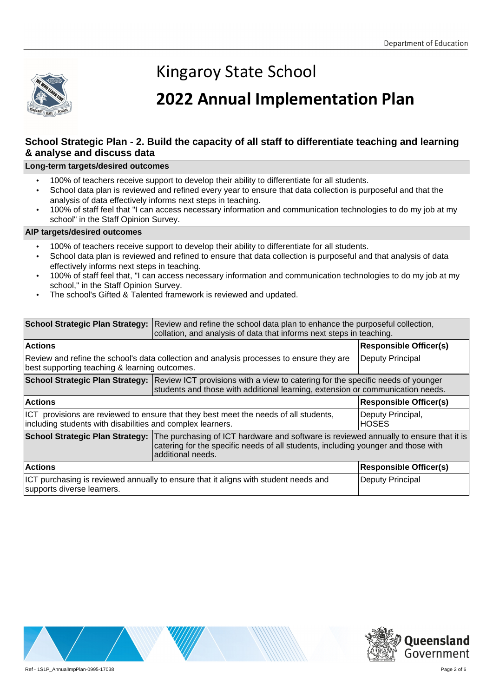

## **2022 Annual Implementation Plan**

### **School Strategic Plan - 2. Build the capacity of all staff to differentiate teaching and learning & analyse and discuss data**

#### **Long-term targets/desired outcomes**

- 100% of teachers receive support to develop their ability to differentiate for all students.
- School data plan is reviewed and refined every year to ensure that data collection is purposeful and that the analysis of data effectively informs next steps in teaching.
- 100% of staff feel that "I can access necessary information and communication technologies to do my job at my school" in the Staff Opinion Survey.

- 100% of teachers receive support to develop their ability to differentiate for all students.
- School data plan is reviewed and refined to ensure that data collection is purposeful and that analysis of data effectively informs next steps in teaching.
- 100% of staff feel that, "I can access necessary information and communication technologies to do my job at my school," in the Staff Opinion Survey.
- The school's Gifted & Talented framework is reviewed and updated.

|                                                                                                                                                    | School Strategic Plan Strategy: Review and refine the school data plan to enhance the purposeful collection,<br>collation, and analysis of data that informs next steps in teaching.                                              |                                   |
|----------------------------------------------------------------------------------------------------------------------------------------------------|-----------------------------------------------------------------------------------------------------------------------------------------------------------------------------------------------------------------------------------|-----------------------------------|
| <b>Actions</b>                                                                                                                                     |                                                                                                                                                                                                                                   | <b>Responsible Officer(s)</b>     |
| Review and refine the school's data collection and analysis processes to ensure they are<br>best supporting teaching & learning outcomes.          |                                                                                                                                                                                                                                   | Deputy Principal                  |
|                                                                                                                                                    | School Strategic Plan Strategy: Review ICT provisions with a view to catering for the specific needs of younger<br>students and those with additional learning, extension or communication needs.                                 |                                   |
| <b>Actions</b>                                                                                                                                     |                                                                                                                                                                                                                                   | <b>Responsible Officer(s)</b>     |
| ICT provisions are reviewed to ensure that they best meet the needs of all students,<br>including students with disabilities and complex learners. |                                                                                                                                                                                                                                   | Deputy Principal,<br><b>HOSES</b> |
|                                                                                                                                                    | School Strategic Plan Strategy:   The purchasing of ICT hardware and software is reviewed annually to ensure that it is<br>catering for the specific needs of all students, including younger and those with<br>additional needs. |                                   |
| <b>Actions</b>                                                                                                                                     |                                                                                                                                                                                                                                   | <b>Responsible Officer(s)</b>     |
| ICT purchasing is reviewed annually to ensure that it aligns with student needs and<br>supports diverse learners.                                  |                                                                                                                                                                                                                                   | Deputy Principal                  |



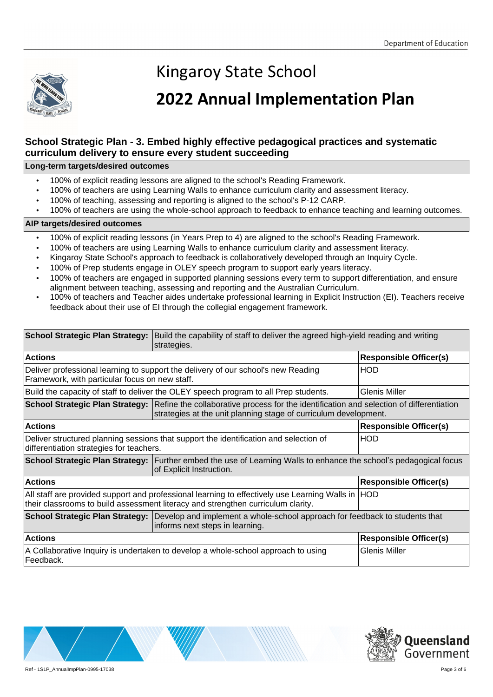

### **2022 Annual Implementation Plan**

### **School Strategic Plan - 3. Embed highly effective pedagogical practices and systematic curriculum delivery to ensure every student succeeding**

### **Long-term targets/desired outcomes**

- 100% of explicit reading lessons are aligned to the school's Reading Framework.
- 100% of teachers are using Learning Walls to enhance curriculum clarity and assessment literacy.
- 100% of teaching, assessing and reporting is aligned to the school's P-12 CARP.
- 100% of teachers are using the whole-school approach to feedback to enhance teaching and learning outcomes.

- 100% of explicit reading lessons (in Years Prep to 4) are aligned to the school's Reading Framework.
- 100% of teachers are using Learning Walls to enhance curriculum clarity and assessment literacy.
- Kingaroy State School's approach to feedback is collaboratively developed through an Inquiry Cycle.
- 100% of Prep students engage in OLEY speech program to support early years literacy.
- 100% of teachers are engaged in supported planning sessions every term to support differentiation, and ensure alignment between teaching, assessing and reporting and the Australian Curriculum.
- 100% of teachers and Teacher aides undertake professional learning in Explicit Instruction (EI). Teachers receive feedback about their use of EI through the collegial engagement framework.

|                                                                                                                                                                                       | School Strategic Plan Strategy: Build the capability of staff to deliver the agreed high-yield reading and writing<br>strategies.                                                            |                               |
|---------------------------------------------------------------------------------------------------------------------------------------------------------------------------------------|----------------------------------------------------------------------------------------------------------------------------------------------------------------------------------------------|-------------------------------|
| <b>Actions</b>                                                                                                                                                                        |                                                                                                                                                                                              | <b>Responsible Officer(s)</b> |
| Deliver professional learning to support the delivery of our school's new Reading<br>Framework, with particular focus on new staff.                                                   |                                                                                                                                                                                              | <b>HOD</b>                    |
| Build the capacity of staff to deliver the OLEY speech program to all Prep students.                                                                                                  |                                                                                                                                                                                              | <b>Glenis Miller</b>          |
|                                                                                                                                                                                       | School Strategic Plan Strategy: Refine the collaborative process for the identification and selection of differentiation<br>strategies at the unit planning stage of curriculum development. |                               |
| <b>Actions</b>                                                                                                                                                                        |                                                                                                                                                                                              | <b>Responsible Officer(s)</b> |
| Deliver structured planning sessions that support the identification and selection of<br>differentiation strategies for teachers.                                                     |                                                                                                                                                                                              | <b>HOD</b>                    |
|                                                                                                                                                                                       | School Strategic Plan Strategy: Further embed the use of Learning Walls to enhance the school's pedagogical focus<br>of Explicit Instruction.                                                |                               |
| <b>Actions</b>                                                                                                                                                                        |                                                                                                                                                                                              | <b>Responsible Officer(s)</b> |
| All staff are provided support and professional learning to effectively use Learning Walls in HOD<br>their classrooms to build assessment literacy and strengthen curriculum clarity. |                                                                                                                                                                                              |                               |
|                                                                                                                                                                                       | School Strategic Plan Strategy: Develop and implement a whole-school approach for feedback to students that<br>informs next steps in learning.                                               |                               |
| <b>Actions</b>                                                                                                                                                                        |                                                                                                                                                                                              | <b>Responsible Officer(s)</b> |
| A Collaborative Inquiry is undertaken to develop a whole-school approach to using<br>Feedback.                                                                                        |                                                                                                                                                                                              | <b>Glenis Miller</b>          |



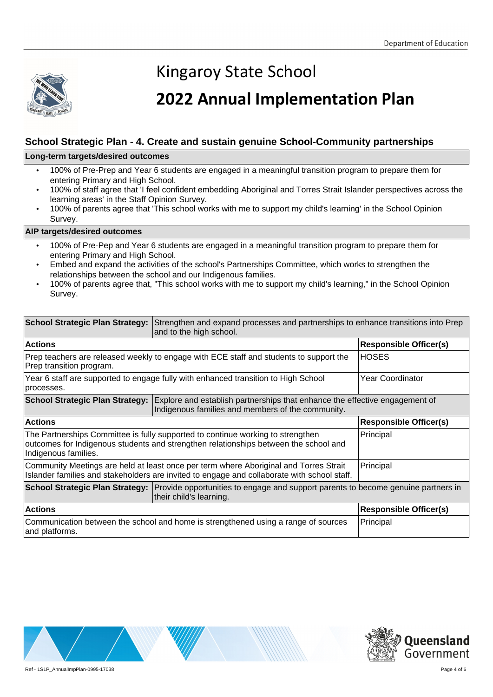

## **2022 Annual Implementation Plan**

### **School Strategic Plan - 4. Create and sustain genuine School-Community partnerships**

#### **Long-term targets/desired outcomes**

- 100% of Pre-Prep and Year 6 students are engaged in a meaningful transition program to prepare them for entering Primary and High School.
- 100% of staff agree that 'I feel confident embedding Aboriginal and Torres Strait Islander perspectives across the learning areas' in the Staff Opinion Survey.
- 100% of parents agree that 'This school works with me to support my child's learning' in the School Opinion Survey.

- 100% of Pre-Pep and Year 6 students are engaged in a meaningful transition program to prepare them for entering Primary and High School.
- Embed and expand the activities of the school's Partnerships Committee, which works to strengthen the relationships between the school and our Indigenous families.
- 100% of parents agree that, "This school works with me to support my child's learning," in the School Opinion Survey.

|                                                                                                                                                                                                 | School Strategic Plan Strategy: Strengthen and expand processes and partnerships to enhance transitions into Prep<br>and to the high school.                            |                               |
|-------------------------------------------------------------------------------------------------------------------------------------------------------------------------------------------------|-------------------------------------------------------------------------------------------------------------------------------------------------------------------------|-------------------------------|
| <b>Actions</b>                                                                                                                                                                                  |                                                                                                                                                                         | <b>Responsible Officer(s)</b> |
| Prep teachers are released weekly to engage with ECE staff and students to support the<br>Prep transition program.                                                                              |                                                                                                                                                                         | <b>HOSES</b>                  |
| Year 6 staff are supported to engage fully with enhanced transition to High School<br>processes.                                                                                                |                                                                                                                                                                         | Year Coordinator              |
|                                                                                                                                                                                                 | <b>School Strategic Plan Strategy:</b> Explore and establish partnerships that enhance the effective engagement of<br>Indigenous families and members of the community. |                               |
| <b>Actions</b>                                                                                                                                                                                  |                                                                                                                                                                         | <b>Responsible Officer(s)</b> |
| The Partnerships Committee is fully supported to continue working to strengthen<br>outcomes for Indigenous students and strengthen relationships between the school and<br>Indigenous families. |                                                                                                                                                                         | Principal                     |
| Community Meetings are held at least once per term where Aboriginal and Torres Strait<br>Islander families and stakeholders are invited to engage and collaborate with school staff.            |                                                                                                                                                                         | Principal                     |
|                                                                                                                                                                                                 | School Strategic Plan Strategy: Provide opportunities to engage and support parents to become genuine partners in<br>their child's learning.                            |                               |
| <b>Actions</b>                                                                                                                                                                                  |                                                                                                                                                                         | <b>Responsible Officer(s)</b> |
| Communication between the school and home is strengthened using a range of sources<br>and platforms.                                                                                            |                                                                                                                                                                         | Principal                     |



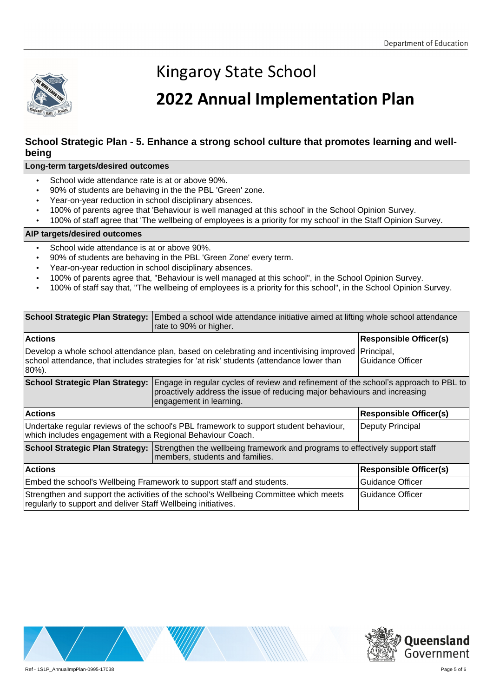

## **2022 Annual Implementation Plan**

### **School Strategic Plan - 5. Enhance a strong school culture that promotes learning and wellbeing**

#### **Long-term targets/desired outcomes**

- School wide attendance rate is at or above 90%.
- 90% of students are behaving in the the PBL 'Green' zone.
- Year-on-year reduction in school disciplinary absences.
- 100% of parents agree that 'Behaviour is well managed at this school' in the School Opinion Survey.
- 100% of staff agree that 'The wellbeing of employees is a priority for my school' in the Staff Opinion Survey.

- School wide attendance is at or above 90%.
- 90% of students are behaving in the PBL 'Green Zone' every term.
- Year-on-year reduction in school disciplinary absences.
- 100% of parents agree that, "Behaviour is well managed at this school", in the School Opinion Survey.
- 100% of staff say that, "The wellbeing of employees is a priority for this school", in the School Opinion Survey.

|                                                                                                                                                                                               | School Strategic Plan Strategy: Embed a school wide attendance initiative aimed at lifting whole school attendance<br>rate to 90% or higher.                                                 |                                |
|-----------------------------------------------------------------------------------------------------------------------------------------------------------------------------------------------|----------------------------------------------------------------------------------------------------------------------------------------------------------------------------------------------|--------------------------------|
| <b>Actions</b>                                                                                                                                                                                |                                                                                                                                                                                              | <b>Responsible Officer(s)</b>  |
| Develop a whole school attendance plan, based on celebrating and incentivising improved<br>school attendance, that includes strategies for 'at risk' students (attendance lower than<br>80%). |                                                                                                                                                                                              | Principal,<br>Guidance Officer |
| <b>School Strategic Plan Strategy:</b>                                                                                                                                                        | Engage in regular cycles of review and refinement of the school's approach to PBL to<br>proactively address the issue of reducing major behaviours and increasing<br>engagement in learning. |                                |
| <b>Actions</b>                                                                                                                                                                                |                                                                                                                                                                                              | <b>Responsible Officer(s)</b>  |
| Undertake regular reviews of the school's PBL framework to support student behaviour,<br>which includes engagement with a Regional Behaviour Coach.                                           |                                                                                                                                                                                              | Deputy Principal               |
|                                                                                                                                                                                               | School Strategic Plan Strategy: Strengthen the wellbeing framework and programs to effectively support staff<br>members, students and families.                                              |                                |
| <b>Actions</b>                                                                                                                                                                                |                                                                                                                                                                                              | <b>Responsible Officer(s)</b>  |
| Embed the school's Wellbeing Framework to support staff and students.                                                                                                                         |                                                                                                                                                                                              | Guidance Officer               |
| regularly to support and deliver Staff Wellbeing initiatives.                                                                                                                                 | Strengthen and support the activities of the school's Wellbeing Committee which meets                                                                                                        | <b>Guidance Officer</b>        |